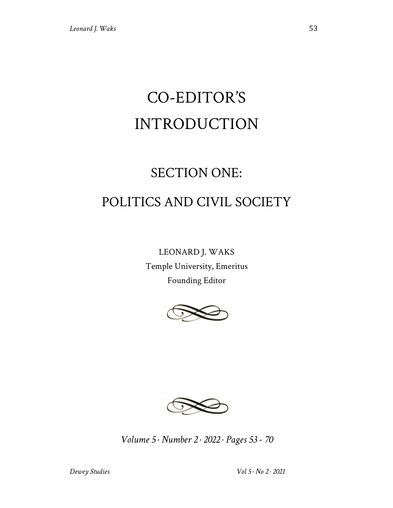# CO-EDITOR'S INTRODUCTION

## SECTION ONE: POLITICS AND CIVIL SOCIETY

LEONARD J. WAKS Temple University, Emeritus Founding Editor





*Volume 5 · Number 2 · 2022 · Pages 53 - 70*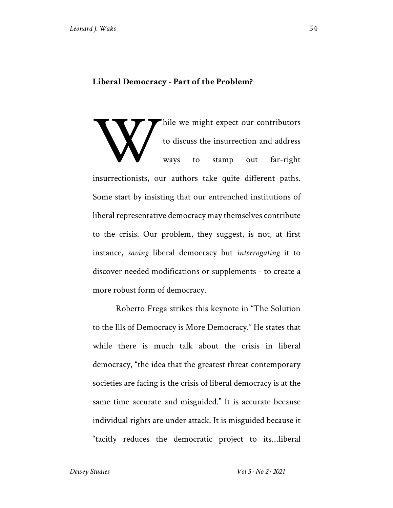### **Liberal Democracy - Part of the Problem?**

hile we might expect our contributors to discuss the insurrection and address ways to stamp out far-right insurrectionists, our authors take quite different paths. Some start by insisting that our entrenched institutions of liberal representative democracy may themselves contribute to the crisis. Our problem, they suggest, is not, at first instance, *saving* liberal democracy but *interrogating* it to discover needed modifications or supplements - to create a more robust form of democracy. W

Roberto Frega strikes this keynote in "The Solution to the Ills of Democracy is More Democracy." He states that while there is much talk about the crisis in liberal democracy, "the idea that the greatest threat contemporary societies are facing is the crisis of liberal democracy is at the same time accurate and misguided." It is accurate because individual rights are under attack. It is misguided because it "tacitly reduces the democratic project to its…liberal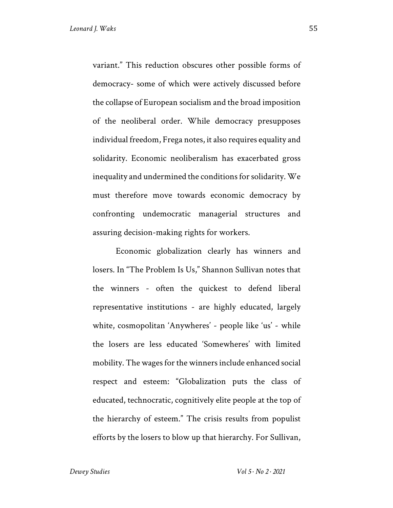variant." This reduction obscures other possible forms of democracy- some of which were actively discussed before the collapse of European socialism and the broad imposition of the neoliberal order. While democracy presupposes individual freedom, Frega notes, it also requires equality and solidarity. Economic neoliberalism has exacerbated gross inequality and undermined the conditions for solidarity. We must therefore move towards economic democracy by confronting undemocratic managerial structures and assuring decision-making rights for workers.

Economic globalization clearly has winners and losers. In "The Problem Is Us," Shannon Sullivan notes that the winners - often the quickest to defend liberal representative institutions - are highly educated, largely white, cosmopolitan 'Anywheres' - people like 'us' - while the losers are less educated 'Somewheres' with limited mobility. The wages for the winners include enhanced social respect and esteem: "Globalization puts the class of educated, technocratic, cognitively elite people at the top of the hierarchy of esteem." The crisis results from populist efforts by the losers to blow up that hierarchy. For Sullivan,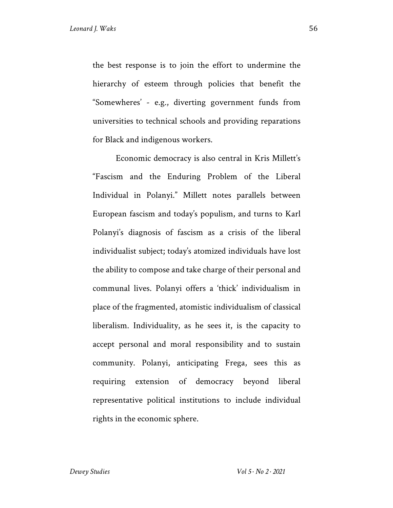the best response is to join the effort to undermine the hierarchy of esteem through policies that benefit the "Somewheres' - e.g., diverting government funds from universities to technical schools and providing reparations for Black and indigenous workers.

Economic democracy is also central in Kris Millett's "Fascism and the Enduring Problem of the Liberal Individual in Polanyi." Millett notes parallels between European fascism and today's populism, and turns to Karl Polanyi's diagnosis of fascism as a crisis of the liberal individualist subject; today's atomized individuals have lost the ability to compose and take charge of their personal and communal lives. Polanyi offers a 'thick' individualism in place of the fragmented, atomistic individualism of classical liberalism. Individuality, as he sees it, is the capacity to accept personal and moral responsibility and to sustain community. Polanyi, anticipating Frega, sees this as requiring extension of democracy beyond liberal representative political institutions to include individual rights in the economic sphere.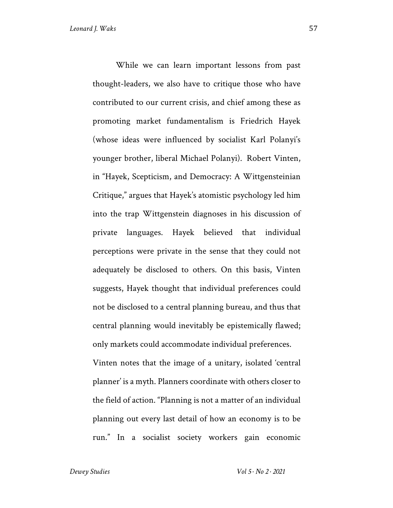While we can learn important lessons from past thought-leaders, we also have to critique those who have contributed to our current crisis, and chief among these as promoting market fundamentalism is Friedrich Hayek (whose ideas were influenced by socialist Karl Polanyi's younger brother, liberal Michael Polanyi). Robert Vinten, in "Hayek, Scepticism, and Democracy: A Wittgensteinian Critique," argues that Hayek's atomistic psychology led him into the trap Wittgenstein diagnoses in his discussion of private languages. Hayek believed that individual perceptions were private in the sense that they could not adequately be disclosed to others. On this basis, Vinten suggests, Hayek thought that individual preferences could not be disclosed to a central planning bureau, and thus that central planning would inevitably be epistemically flawed; only markets could accommodate individual preferences.

Vinten notes that the image of a unitary, isolated 'central planner' is a myth. Planners coordinate with others closer to the field of action. "Planning is not a matter of an individual planning out every last detail of how an economy is to be run." In a socialist society workers gain economic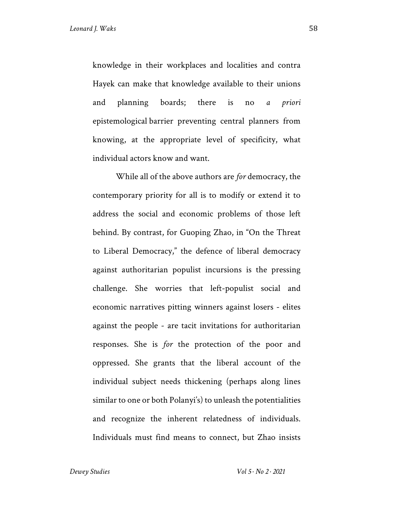knowledge in their workplaces and localities and contra Hayek can make that knowledge available to their unions and planning boards; there is no *a priori*  epistemological barrier preventing central planners from knowing, at the appropriate level of specificity, what individual actors know and want.

While all of the above authors are *for* democracy, the contemporary priority for all is to modify or extend it to address the social and economic problems of those left behind. By contrast, for Guoping Zhao, in "On the Threat to Liberal Democracy," the defence of liberal democracy against authoritarian populist incursions is the pressing challenge. She worries that left-populist social and economic narratives pitting winners against losers - elites against the people - are tacit invitations for authoritarian responses. She is *for* the protection of the poor and oppressed. She grants that the liberal account of the individual subject needs thickening (perhaps along lines similar to one or both Polanyi's) to unleash the potentialities and recognize the inherent relatedness of individuals. Individuals must find means to connect, but Zhao insists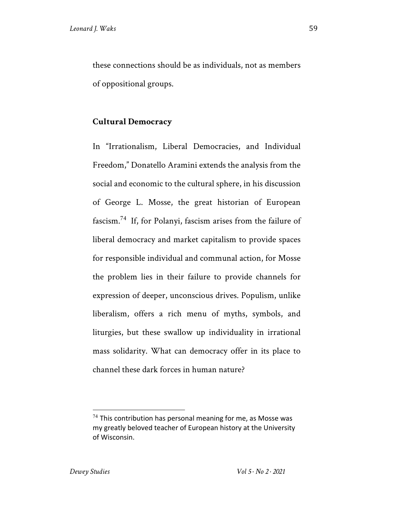these connections should be as individuals, not as members of oppositional groups.

## **Cultural Democracy**

In "Irrationalism, Liberal Democracies, and Individual Freedom," Donatello Aramini extends the analysis from the social and economic to the cultural sphere, in his discussion of George L. Mosse, the great historian of European fascism.74 If, for Polanyi, fascism arises from the failure of liberal democracy and market capitalism to provide spaces for responsible individual and communal action, for Mosse the problem lies in their failure to provide channels for expression of deeper, unconscious drives. Populism, unlike liberalism, offers a rich menu of myths, symbols, and liturgies, but these swallow up individuality in irrational mass solidarity. What can democracy offer in its place to channel these dark forces in human nature?

 $74$  This contribution has personal meaning for me, as Mosse was my greatly beloved teacher of European history at the University of Wisconsin.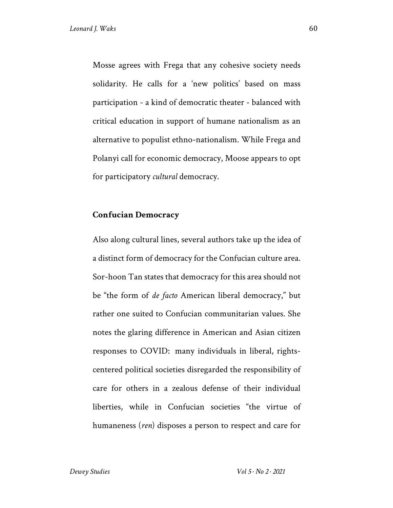Mosse agrees with Frega that any cohesive society needs solidarity. He calls for a 'new politics' based on mass participation - a kind of democratic theater - balanced with critical education in support of humane nationalism as an alternative to populist ethno-nationalism. While Frega and Polanyi call for economic democracy, Moose appears to opt for participatory *cultural* democracy.

## **Confucian Democracy**

Also along cultural lines, several authors take up the idea of a distinct form of democracy for the Confucian culture area. Sor-hoon Tan states that democracy for this area should not be "the form of *de facto* American liberal democracy," but rather one suited to Confucian communitarian values. She notes the glaring difference in American and Asian citizen responses to COVID: many individuals in liberal, rightscentered political societies disregarded the responsibility of care for others in a zealous defense of their individual liberties, while in Confucian societies "the virtue of humaneness (*ren*) disposes a person to respect and care for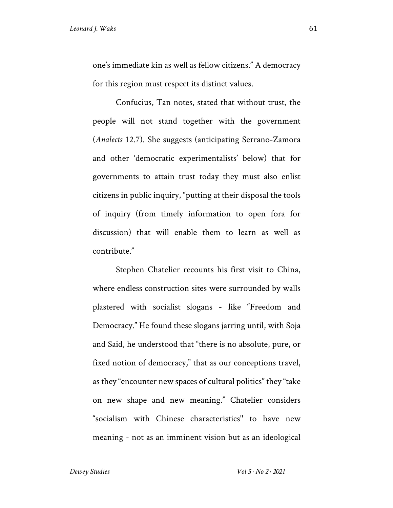one's immediate kin as well as fellow citizens." A democracy for this region must respect its distinct values.

Confucius, Tan notes, stated that without trust, the people will not stand together with the government (*Analects* 12.7). She suggests (anticipating Serrano-Zamora and other 'democratic experimentalists' below) that for governments to attain trust today they must also enlist citizens in public inquiry, "putting at their disposal the tools of inquiry (from timely information to open fora for discussion) that will enable them to learn as well as contribute."

Stephen Chatelier recounts his first visit to China, where endless construction sites were surrounded by walls plastered with socialist slogans - like "Freedom and Democracy." He found these slogans jarring until, with Soja and Said, he understood that "there is no absolute, pure, or fixed notion of democracy," that as our conceptions travel, as they "encounter new spaces of cultural politics" they "take on new shape and new meaning." Chatelier considers "socialism with Chinese characteristics'' to have new meaning - not as an imminent vision but as an ideological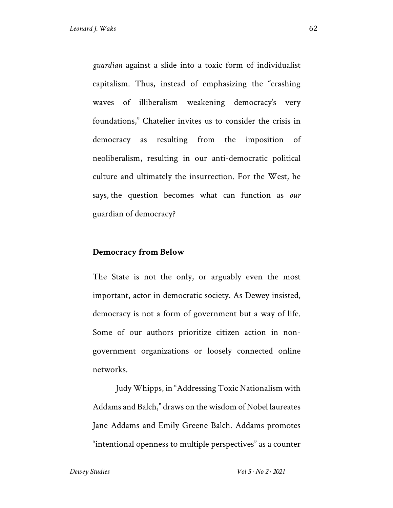*guardian* against a slide into a toxic form of individualist capitalism. Thus, instead of emphasizing the "crashing waves of illiberalism weakening democracy's very foundations," Chatelier invites us to consider the crisis in democracy as resulting from the imposition of neoliberalism, resulting in our anti-democratic political culture and ultimately the insurrection. For the West, he says, the question becomes what can function as *our* guardian of democracy?

## **Democracy from Below**

The State is not the only, or arguably even the most important, actor in democratic society. As Dewey insisted, democracy is not a form of government but a way of life. Some of our authors prioritize citizen action in nongovernment organizations or loosely connected online networks.

Judy Whipps, in "Addressing Toxic Nationalism with Addams and Balch," draws on the wisdom of Nobel laureates Jane Addams and Emily Greene Balch. Addams promotes "intentional openness to multiple perspectives" as a counter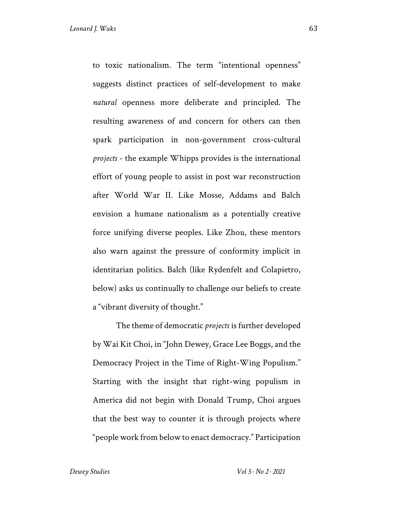to toxic nationalism. The term "intentional openness" suggests distinct practices of self-development to make *natural* openness more deliberate and principled. The resulting awareness of and concern for others can then spark participation in non-government cross-cultural *projects* - the example Whipps provides is the international effort of young people to assist in post war reconstruction after World War II. Like Mosse, Addams and Balch envision a humane nationalism as a potentially creative force unifying diverse peoples. Like Zhou, these mentors also warn against the pressure of conformity implicit in identitarian politics. Balch (like Rydenfelt and Colapietro, below) asks us continually to challenge our beliefs to create a "vibrant diversity of thought."

The theme of democratic *projects* is further developed by Wai Kit Choi, in "John Dewey, Grace Lee Boggs, and the Democracy Project in the Time of Right-Wing Populism." Starting with the insight that right-wing populism in America did not begin with Donald Trump, Choi argues that the best way to counter it is through projects where "people work from below to enact democracy." Participation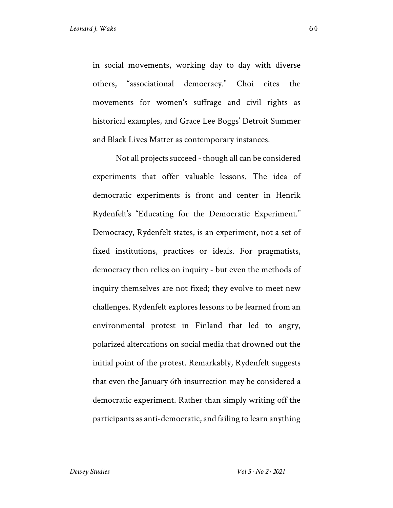in social movements, working day to day with diverse others, "associational democracy." Choi cites the movements for women's suffrage and civil rights as historical examples, and Grace Lee Boggs' Detroit Summer and Black Lives Matter as contemporary instances.

Not all projects succeed -though all can be considered experiments that offer valuable lessons. The idea of democratic experiments is front and center in Henrik Rydenfelt's "Educating for the Democratic Experiment." Democracy, Rydenfelt states, is an experiment, not a set of fixed institutions, practices or ideals. For pragmatists, democracy then relies on inquiry - but even the methods of inquiry themselves are not fixed; they evolve to meet new challenges. Rydenfelt explores lessons to be learned from an environmental protest in Finland that led to angry, polarized altercations on social media that drowned out the initial point of the protest. Remarkably, Rydenfelt suggests that even the January 6th insurrection may be considered a democratic experiment. Rather than simply writing off the participants as anti-democratic, and failing to learn anything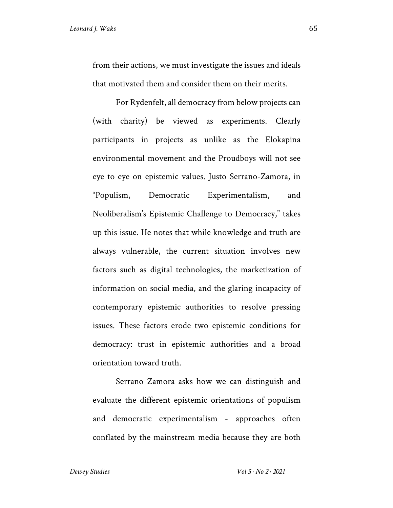from their actions, we must investigate the issues and ideals that motivated them and consider them on their merits.

For Rydenfelt, all democracy from below projects can (with charity) be viewed as experiments. Clearly participants in projects as unlike as the Elokapina environmental movement and the Proudboys will not see eye to eye on epistemic values. Justo Serrano-Zamora, in "Populism, Democratic Experimentalism, and Neoliberalism's Epistemic Challenge to Democracy," takes up this issue. He notes that while knowledge and truth are always vulnerable, the current situation involves new factors such as digital technologies, the marketization of information on social media, and the glaring incapacity of contemporary epistemic authorities to resolve pressing issues. These factors erode two epistemic conditions for democracy: trust in epistemic authorities and a broad orientation toward truth.

Serrano Zamora asks how we can distinguish and evaluate the different epistemic orientations of populism and democratic experimentalism - approaches often conflated by the mainstream media because they are both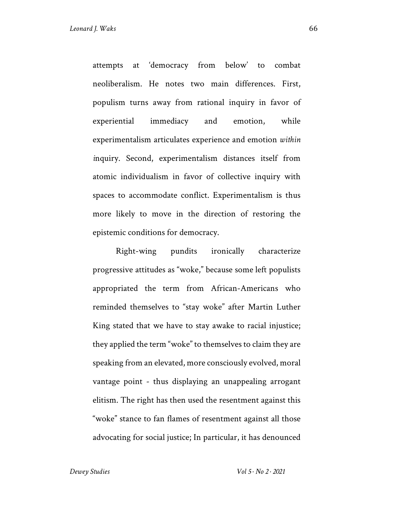attempts at 'democracy from below' to combat neoliberalism. He notes two main differences. First, populism turns away from rational inquiry in favor of experiential immediacy and emotion, while experimentalism articulates experience and emotion *within i*nquiry. Second, experimentalism distances itself from atomic individualism in favor of collective inquiry with spaces to accommodate conflict. Experimentalism is thus more likely to move in the direction of restoring the epistemic conditions for democracy.

Right-wing pundits ironically characterize progressive attitudes as "woke," because some left populists appropriated the term from African-Americans who reminded themselves to "stay woke" after Martin Luther King stated that we have to stay awake to racial injustice; they applied the term "woke" to themselves to claim they are speaking from an elevated, more consciously evolved, moral vantage point - thus displaying an unappealing arrogant elitism. The right has then used the resentment against this "woke" stance to fan flames of resentment against all those advocating for social justice; In particular, it has denounced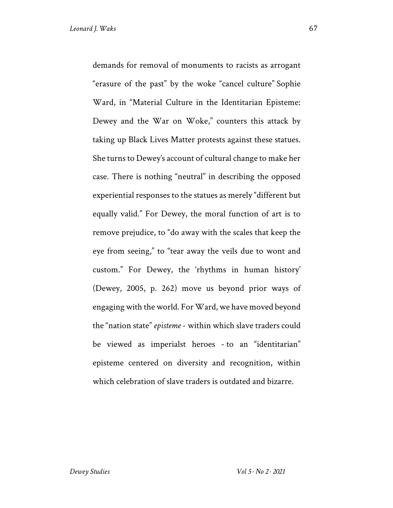demands for removal of monuments to racists as arrogant "erasure of the past" by the woke "cancel culture" Sophie Ward, in "Material Culture in the Identitarian Episteme: Dewey and the War on Woke," counters this attack by taking up Black Lives Matter protests against these statues. She turns to Dewey's account of cultural change to make her case. There is nothing "neutral" in describing the opposed experiential responses to the statues as merely "different but equally valid." For Dewey, the moral function of art is to remove prejudice, to "do away with the scales that keep the eye from seeing," to "tear away the veils due to wont and custom." For Dewey, the 'rhythms in human history' (Dewey, 2005, p. 262) move us beyond prior ways of engaging with the world. For Ward, we have moved beyond the "nation state" *episteme* - within which slave traders could be viewed as imperialst heroes - to an "identitarian" episteme centered on diversity and recognition, within which celebration of slave traders is outdated and bizarre.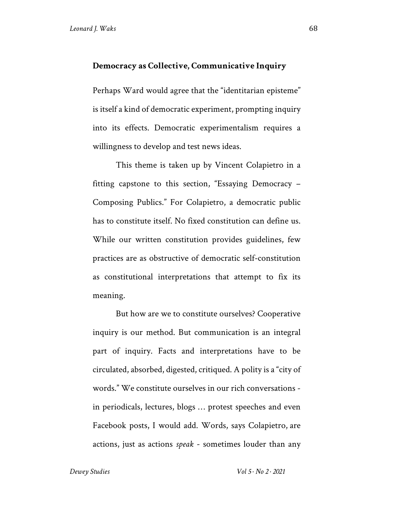#### **Democracy as Collective, Communicative Inquiry**

Perhaps Ward would agree that the "identitarian episteme" is itself a kind of democratic experiment, prompting inquiry into its effects. Democratic experimentalism requires a willingness to develop and test news ideas.

This theme is taken up by Vincent Colapietro in a fitting capstone to this section, "Essaying Democracy – Composing Publics." For Colapietro, a democratic public has to constitute itself. No fixed constitution can define us. While our written constitution provides guidelines, few practices are as obstructive of democratic self-constitution as constitutional interpretations that attempt to fix its meaning.

But how are we to constitute ourselves? Cooperative inquiry is our method. But communication is an integral part of inquiry. Facts and interpretations have to be circulated, absorbed, digested, critiqued. A polity is a "city of words." We constitute ourselves in our rich conversations in periodicals, lectures, blogs … protest speeches and even Facebook posts, I would add. Words, says Colapietro, are actions, just as actions *speak* - sometimes louder than any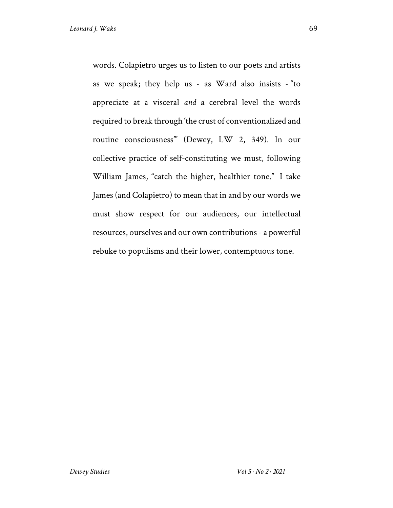words. Colapietro urges us to listen to our poets and artists as we speak; they help us - as Ward also insists - "to appreciate at a visceral *and* a cerebral level the words required to break through 'the crust of conventionalized and routine consciousness'" (Dewey, LW 2, 349). In our collective practice of self-constituting we must, following William James, "catch the higher, healthier tone." I take James (and Colapietro) to mean that in and by our words we must show respect for our audiences, our intellectual resources, ourselves and our own contributions - a powerful rebuke to populisms and their lower, contemptuous tone.